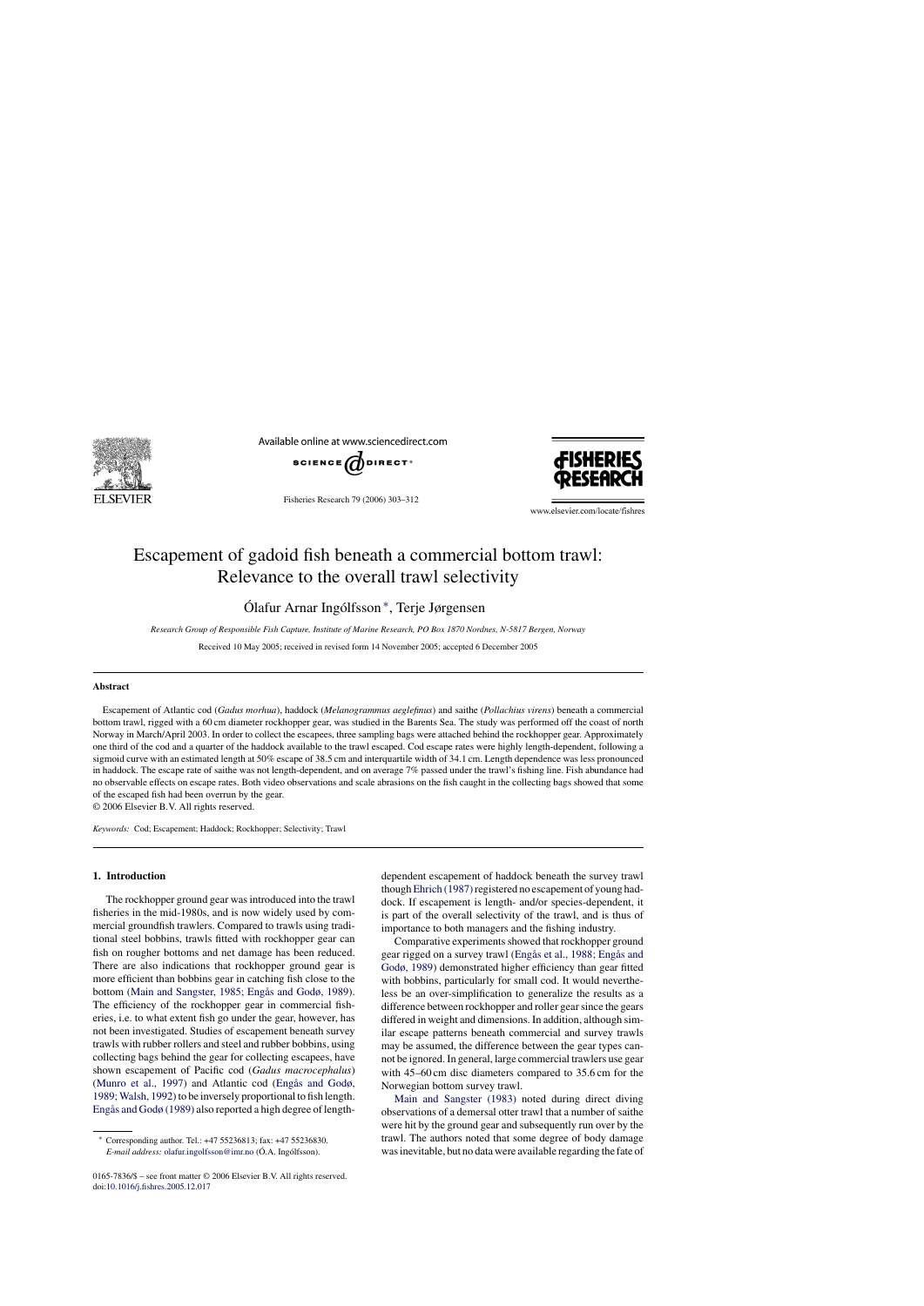

Available online at www.sciencedirect.com



**GISHERIES** 

Fisheries Research 79 (2006) 303–312

www.elsevier.com/locate/fishres

# Escapement of gadoid fish beneath a commercial bottom trawl: Relevance to the overall trawl selectivity

Ólafur Arnar Ingólfsson $*$ , Terje Jørgensen

*Research Group of Responsible Fish Capture, Institute of Marine Research, PO Box 1870 Nordnes, N-5817 Bergen, Norway*

Received 10 May 2005; received in revised form 14 November 2005; accepted 6 December 2005

### **Abstract**

Escapement of Atlantic cod (*Gadus morhua*), haddock (*Melanogrammus aeglefinus*) and saithe (*Pollachius virens*) beneath a commercial bottom trawl, rigged with a 60 cm diameter rockhopper gear, was studied in the Barents Sea. The study was performed off the coast of north Norway in March/April 2003. In order to collect the escapees, three sampling bags were attached behind the rockhopper gear. Approximately one third of the cod and a quarter of the haddock available to the trawl escaped. Cod escape rates were highly length-dependent, following a sigmoid curve with an estimated length at 50% escape of 38.5 cm and interquartile width of 34.1 cm. Length dependence was less pronounced in haddock. The escape rate of saithe was not length-dependent, and on average 7% passed under the trawl's fishing line. Fish abundance had no observable effects on escape rates. Both video observations and scale abrasions on the fish caught in the collecting bags showed that some of the escaped fish had been overrun by the gear.

© 2006 Elsevier B.V. All rights reserved.

*Keywords:* Cod; Escapement; Haddock; Rockhopper; Selectivity; Trawl

# **1. Introduction**

The rockhopper ground gear was introduced into the trawl fisheries in the mid-1980s, and is now widely used by commercial groundfish trawlers. Compared to trawls using traditional steel bobbins, trawls fitted with rockhopper gear can fish on rougher bottoms and net damage has been reduced. There are also indications that rockhopper ground gear is more efficient than bobbins gear in catching fish close to the bottom (Main and Sangster, 1985; Engås and Godø, 1989). The efficiency of the rockhopper gear in commercial fisheries, i.e. to what extent fish go under the gear, however, has not been investigated. Studies of escapement beneath survey trawls with rubber rollers and steel and rubber bobbins, using collecting bags behind the gear for collecting escapees, have shown escapement of Pacific cod (*Gadus macrocephalus*) ([Munro et al., 1997\)](#page-8-0) and Atlantic cod (Engås and Godø, [1989; Walsh, 1992\) t](#page-8-0)o be inversely proportional to fish length. Engås and  $\text{God}\phi$  (1989) also reported a high degree of lengthdependent escapement of haddock beneath the survey trawl though Ehrich (1987) registered no escapement of young haddock. If escapement is length- and/or species-dependent, it is part of the overall selectivity of the trawl, and is thus of importance to both managers and the fishing industry.

Comparative experiments showed that rockhopper ground gear rigged on a survey trawl (Engås et al., 1988; Engås [and](#page-8-0) [Godø, 1989\)](#page-8-0) demonstrated higher efficiency than gear fitted with bobbins, particularly for small cod. It would nevertheless be an over-simplification to generalize the results as a difference between rockhopper and roller gear since the gears differed in weight and dimensions. In addition, although similar escape patterns beneath commercial and survey trawls may be assumed, the difference between the gear types cannot be ignored. In general, large commercial trawlers use gear with 45–60 cm disc diameters compared to 35.6 cm for the Norwegian bottom survey trawl.

[Main and Sangster \(1983\)](#page-8-0) noted during direct diving observations of a demersal otter trawl that a number of saithe were hit by the ground gear and subsequently run over by the trawl. The authors noted that some degree of body damage was inevitable, but no data were available regarding the fate of

<sup>∗</sup> Corresponding author. Tel.: +47 55236813; fax: +47 55236830. *E-mail address:* [olafur.ingolfsson@imr.no](mailto:olafur.ingolfsson@imr.no) (Ó.A. Ingólfsson).

<sup>0165-7836/\$ –</sup> see front matter © 2006 Elsevier B.V. All rights reserved. doi[:10.1016/j.fishres.2005.12.017](dx.doi.org/10.1016/j.fishres.2005.12.017)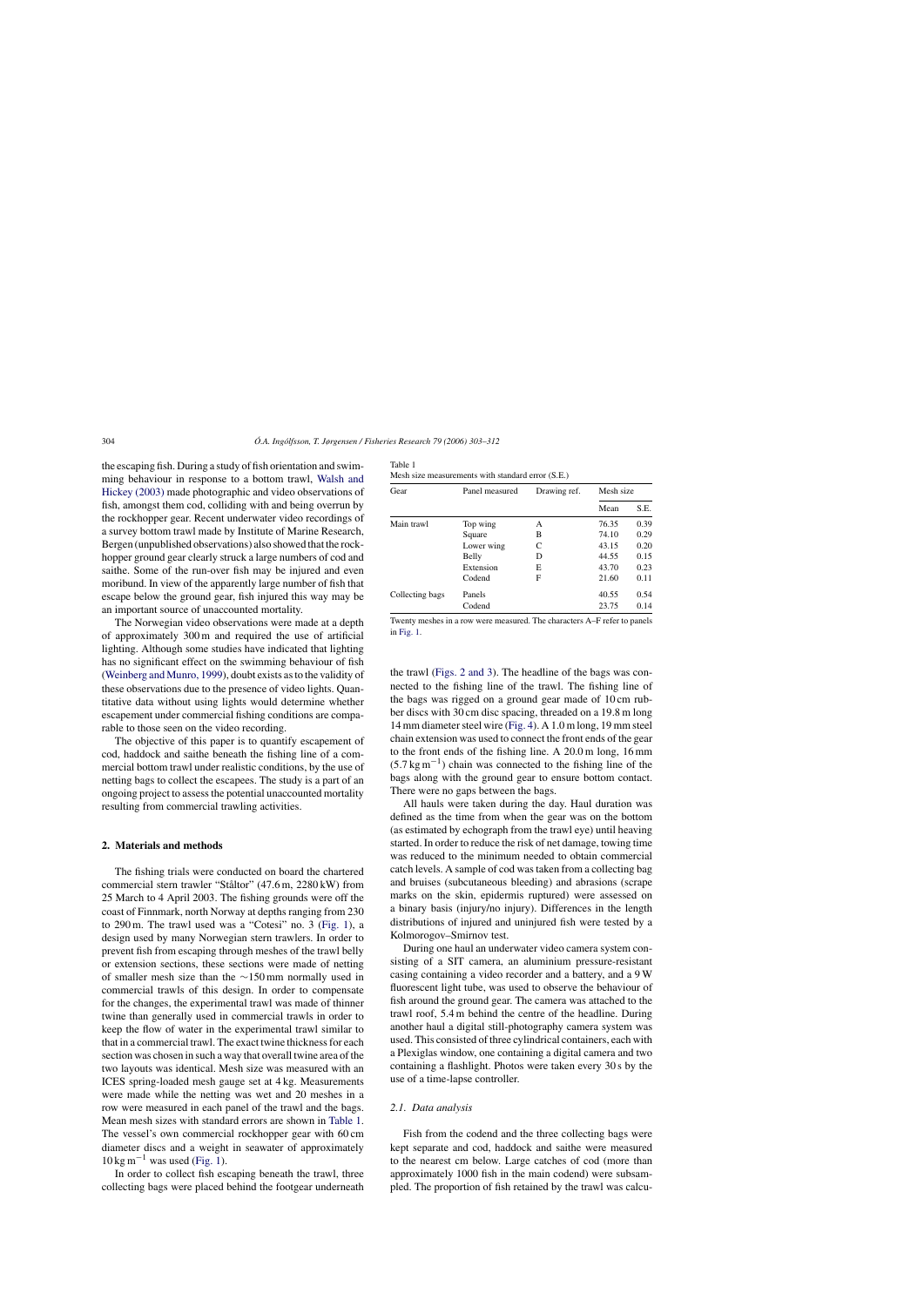the escaping fish. During a study of fish orientation and swimming behaviour in response to a bottom trawl, [Walsh and](#page-9-0) [Hickey \(2003\)](#page-9-0) made photographic and video observations of fish, amongst them cod, colliding with and being overrun by the rockhopper gear. Recent underwater video recordings of a survey bottom trawl made by Institute of Marine Research, Bergen (unpublished observations) also showed that the rockhopper ground gear clearly struck a large numbers of cod and saithe. Some of the run-over fish may be injured and even moribund. In view of the apparently large number of fish that escape below the ground gear, fish injured this way may be an important source of unaccounted mortality.

The Norwegian video observations were made at a depth of approximately 300 m and required the use of artificial lighting. Although some studies have indicated that lighting has no significant effect on the swimming behaviour of fish [\(Weinberg and Munro, 1999\),](#page-9-0) doubt exists as to the validity of these observations due to the presence of video lights. Quantitative data without using lights would determine whether escapement under commercial fishing conditions are comparable to those seen on the video recording.

The objective of this paper is to quantify escapement of cod, haddock and saithe beneath the fishing line of a commercial bottom trawl under realistic conditions, by the use of netting bags to collect the escapees. The study is a part of an ongoing project to assess the potential unaccounted mortality resulting from commercial trawling activities.

#### **2. Materials and methods**

The fishing trials were conducted on board the chartered commercial stern trawler "Ståltor" (47.6 m, 2280 kW) from 25 March to 4 April 2003. The fishing grounds were off the coast of Finnmark, north Norway at depths ranging from 230 to 290 m. The trawl used was a "Cotesi" no. 3 [\(Fig. 1\),](#page-2-0) a design used by many Norwegian stern trawlers. In order to prevent fish from escaping through meshes of the trawl belly or extension sections, these sections were made of netting of smaller mesh size than the ∼150 mm normally used in commercial trawls of this design. In order to compensate for the changes, the experimental trawl was made of thinner twine than generally used in commercial trawls in order to keep the flow of water in the experimental trawl similar to that in a commercial trawl. The exact twine thickness for each section was chosen in such a way that overall twine area of the two layouts was identical. Mesh size was measured with an ICES spring-loaded mesh gauge set at 4 kg. Measurements were made while the netting was wet and 20 meshes in a row were measured in each panel of the trawl and the bags. Mean mesh sizes with standard errors are shown in Table 1. The vessel's own commercial rockhopper gear with 60 cm diameter discs and a weight in seawater of approximately  $10 \text{ kg m}^{-1}$  was used [\(Fig. 1\).](#page-2-0)

In order to collect fish escaping beneath the trawl, three collecting bags were placed behind the footgear underneath

| Table 1                                           |  |
|---------------------------------------------------|--|
| Mesh size measurements with standard error (S.E.) |  |

| Gear            | Panel measured | Drawing ref. | Mesh size |      |  |
|-----------------|----------------|--------------|-----------|------|--|
|                 |                |              | Mean      | S.E. |  |
| Main trawl      | Top wing       | A            | 76.35     | 0.39 |  |
|                 | Square         | B            | 74.10     | 0.29 |  |
|                 | Lower wing     | C            | 43.15     | 0.20 |  |
|                 | Belly          | D            | 44.55     | 0.15 |  |
|                 | Extension      | E            | 43.70     | 0.23 |  |
|                 | Codend         | F            | 21.60     | 0.11 |  |
| Collecting bags | Panels         |              | 40.55     | 0.54 |  |
|                 | Codend         |              | 23.75     | 0.14 |  |

Twenty meshes in a row were measured. The characters A–F refer to panels in [Fig. 1.](#page-2-0)

the trawl ([Figs. 2 and 3\).](#page-3-0) The headline of the bags was connected to the fishing line of the trawl. The fishing line of the bags was rigged on a ground gear made of 10 cm rubber discs with 30 cm disc spacing, threaded on a 19.8 m long 14 mm diameter steel wire ([Fig. 4\).](#page-4-0) A 1.0 m long, 19 mm steel chain extension was used to connect the front ends of the gear to the front ends of the fishing line. A 20.0 m long, 16 mm  $(5.7 \text{ kg m}^{-1})$  chain was connected to the fishing line of the bags along with the ground gear to ensure bottom contact. There were no gaps between the bags.

All hauls were taken during the day. Haul duration was defined as the time from when the gear was on the bottom (as estimated by echograph from the trawl eye) until heaving started. In order to reduce the risk of net damage, towing time was reduced to the minimum needed to obtain commercial catch levels. A sample of cod was taken from a collecting bag and bruises (subcutaneous bleeding) and abrasions (scrape marks on the skin, epidermis ruptured) were assessed on a binary basis (injury/no injury). Differences in the length distributions of injured and uninjured fish were tested by a Kolmorogov–Smirnov test.

During one haul an underwater video camera system consisting of a SIT camera, an aluminium pressure-resistant casing containing a video recorder and a battery, and a 9 W fluorescent light tube, was used to observe the behaviour of fish around the ground gear. The camera was attached to the trawl roof, 5.4 m behind the centre of the headline. During another haul a digital still-photography camera system was used. This consisted of three cylindrical containers, each with a Plexiglas window, one containing a digital camera and two containing a flashlight. Photos were taken every 30 s by the use of a time-lapse controller.

# *2.1. Data analysis*

Fish from the codend and the three collecting bags were kept separate and cod, haddock and saithe were measured to the nearest cm below. Large catches of cod (more than approximately 1000 fish in the main codend) were subsampled. The proportion of fish retained by the trawl was calcu-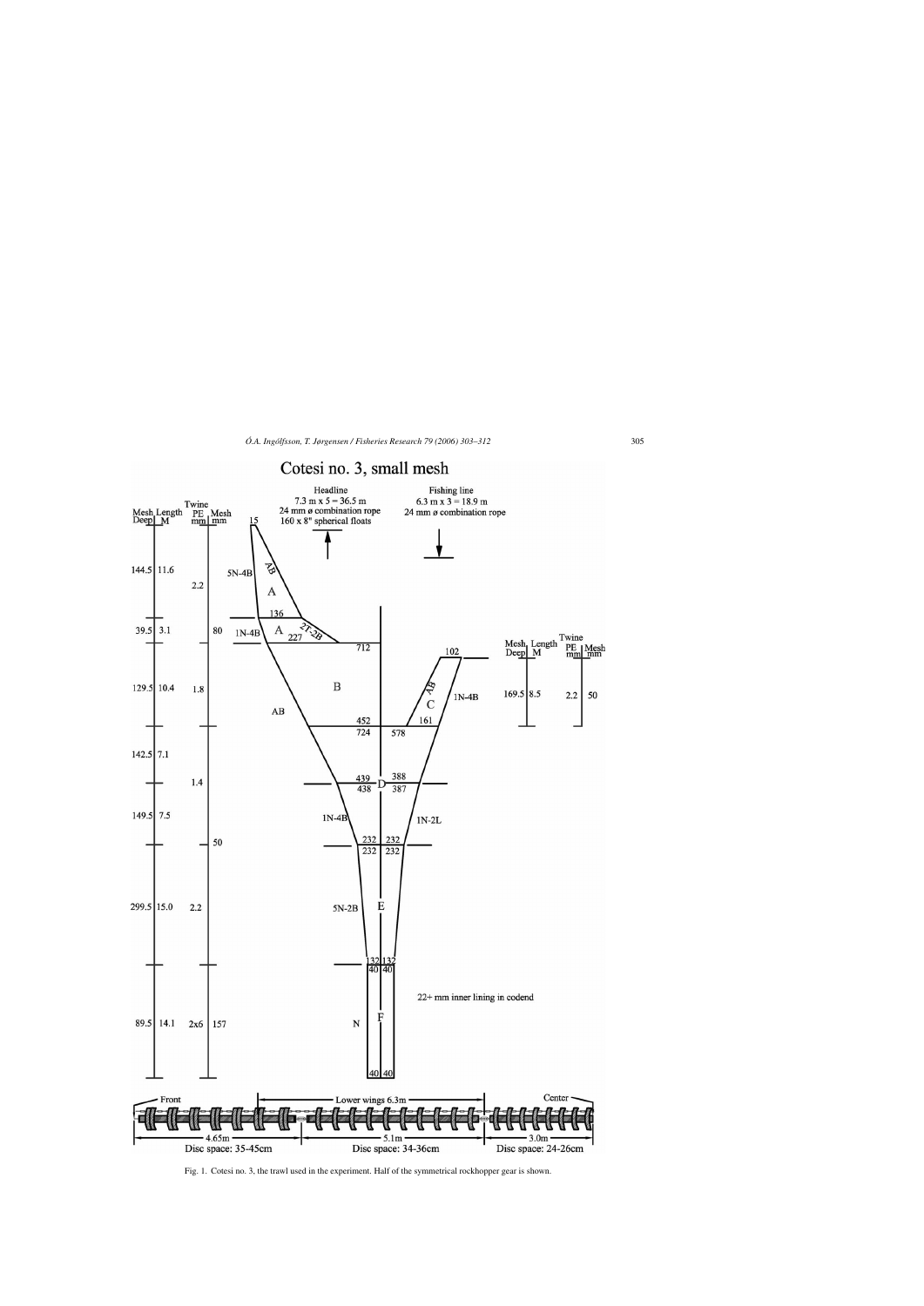# Cotesi no. 3, small mesh

<span id="page-2-0"></span>

Fig. 1. Cotesi no. 3, the trawl used in the experiment. Half of the symmetrical rockhopper gear is shown.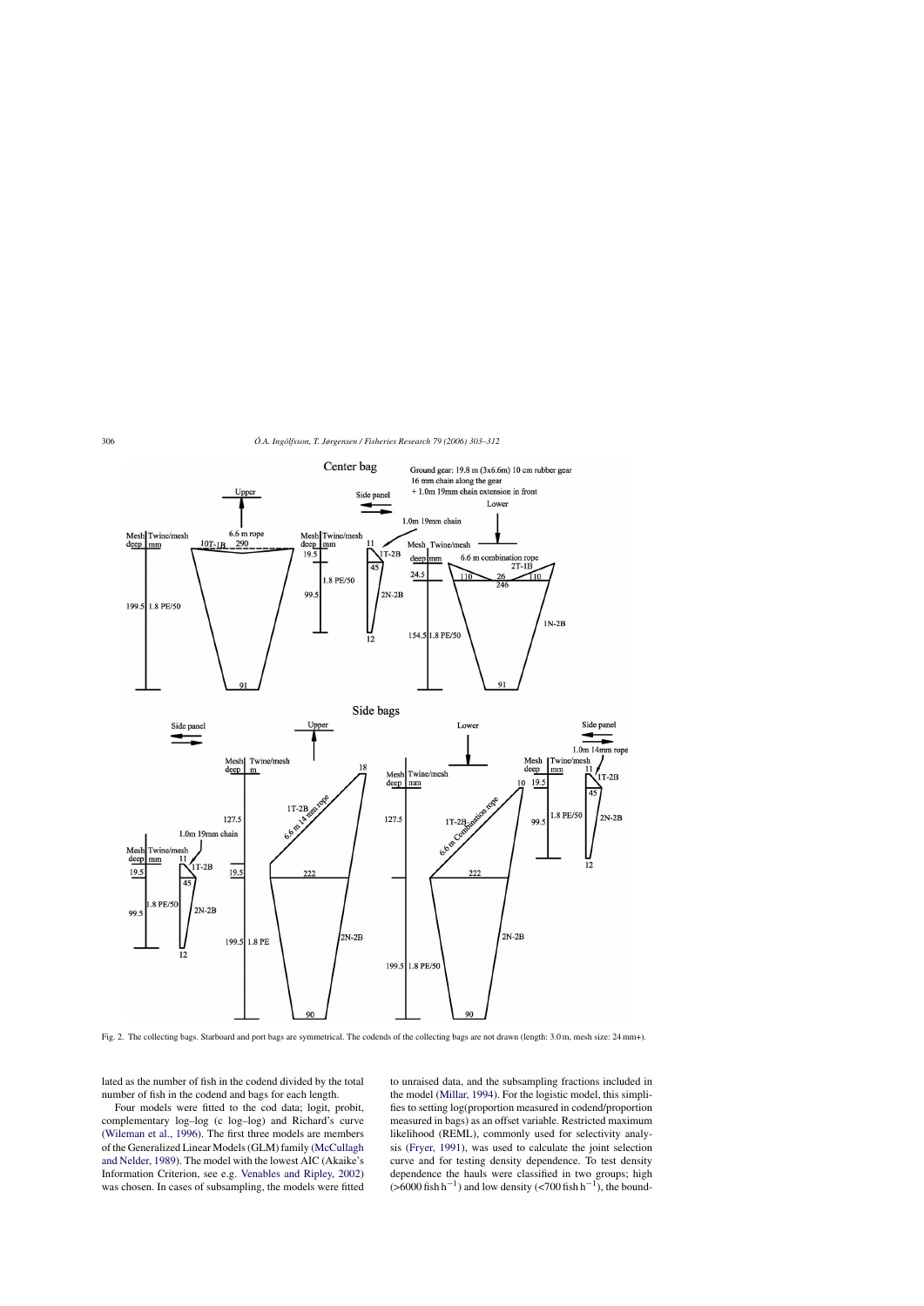<span id="page-3-0"></span>

Fig. 2. The collecting bags. Starboard and port bags are symmetrical. The codends of the collecting bags are not drawn (length: 3.0 m, mesh size: 24 mm+).

lated as the number of fish in the codend divided by the total number of fish in the codend and bags for each length.

Four models were fitted to the cod data; logit, probit, complementary log–log (c log–log) and Richard's curve [\(Wileman et al., 1996\).](#page-9-0) The first three models are members of the Generalized Linear Models (GLM) family [\(McCullagh](#page-8-0) [and Nelder, 1989\).](#page-8-0) The model with the lowest AIC (Akaike's Information Criterion, see e.g. [Venables and Ripley, 2002\)](#page-9-0) was chosen. In cases of subsampling, the models were fitted to unraised data, and the subsampling fractions included in the model ([Millar, 1994\).](#page-8-0) For the logistic model, this simplifies to setting log(proportion measured in codend/proportion measured in bags) as an offset variable. Restricted maximum likelihood (REML), commonly used for selectivity analysis [\(Fryer, 1991\),](#page-8-0) was used to calculate the joint selection curve and for testing density dependence. To test density dependence the hauls were classified in two groups; high  $(>6000$  fish h<sup>-1</sup>) and low density  $(<700$  fish h<sup>-1</sup>), the bound-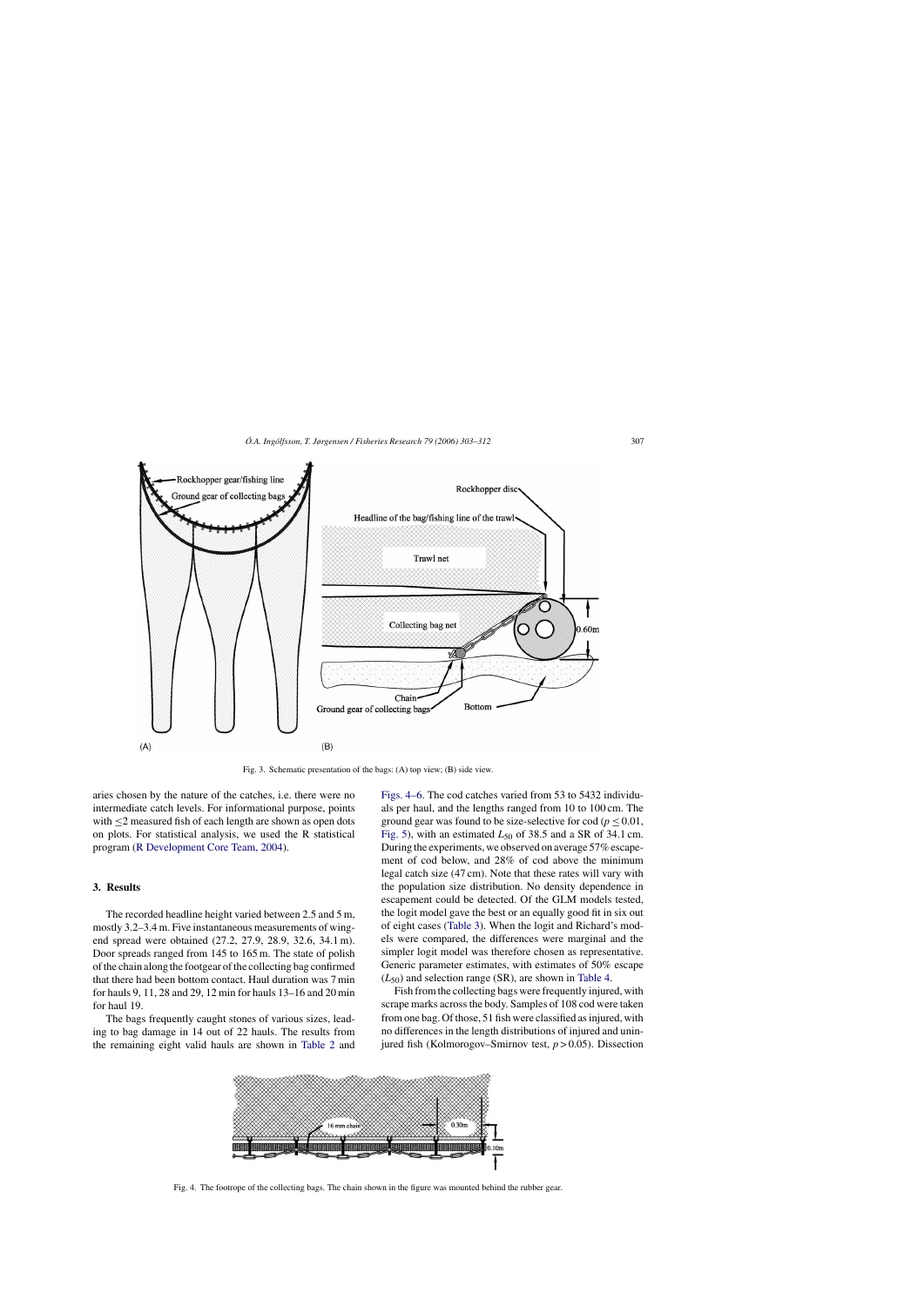<span id="page-4-0"></span>

Fig. 3. Schematic presentation of the bags: (A) top view; (B) side view.

aries chosen by the nature of the catches, i.e. there were no intermediate catch levels. For informational purpose, points with  $\leq$  measured fish of each length are shown as open dots on plots. For statistical analysis, we used the R statistical program [\(R Development Core Team, 2004\).](#page-9-0)

### **3. Results**

The recorded headline height varied between 2.5 and 5 m, mostly 3.2–3.4 m. Five instantaneous measurements of wingend spread were obtained (27.2, 27.9, 28.9, 32.6, 34.1 m). Door spreads ranged from 145 to 165 m. The state of polish of the chain along the footgear of the collecting bag confirmed that there had been bottom contact. Haul duration was 7 min for hauls 9, 11, 28 and 29, 12 min for hauls 13–16 and 20 min for haul 19.

The bags frequently caught stones of various sizes, leading to bag damage in 14 out of 22 hauls. The results from the remaining eight valid hauls are shown in [Table 2](#page-5-0) and Figs. 4–6. The cod catches varied from 53 to 5432 individuals per haul, and the lengths ranged from 10 to 100 cm. The ground gear was found to be size-selective for cod  $(p < 0.01$ , [Fig. 5\),](#page-5-0) with an estimated *L*<sup>50</sup> of 38.5 and a SR of 34.1 cm. During the experiments, we observed on average 57% escapement of cod below, and 28% of cod above the minimum legal catch size (47 cm). Note that these rates will vary with the population size distribution. No density dependence in escapement could be detected. Of the GLM models tested, the logit model gave the best or an equally good fit in six out of eight cases [\(Table 3\).](#page-6-0) When the logit and Richard's models were compared, the differences were marginal and the simpler logit model was therefore chosen as representative. Generic parameter estimates, with estimates of 50% escape  $(L_{50})$  and selection range (SR), are shown in [Table 4.](#page-6-0)

Fish from the collecting bags were frequently injured, with scrape marks across the body. Samples of 108 cod were taken from one bag. Of those, 51 fish were classified as injured, with no differences in the length distributions of injured and uninjured fish (Kolmorogov–Smirnov test, *p* > 0.05). Dissection



Fig. 4. The footrope of the collecting bags. The chain shown in the figure was mounted behind the rubber gear.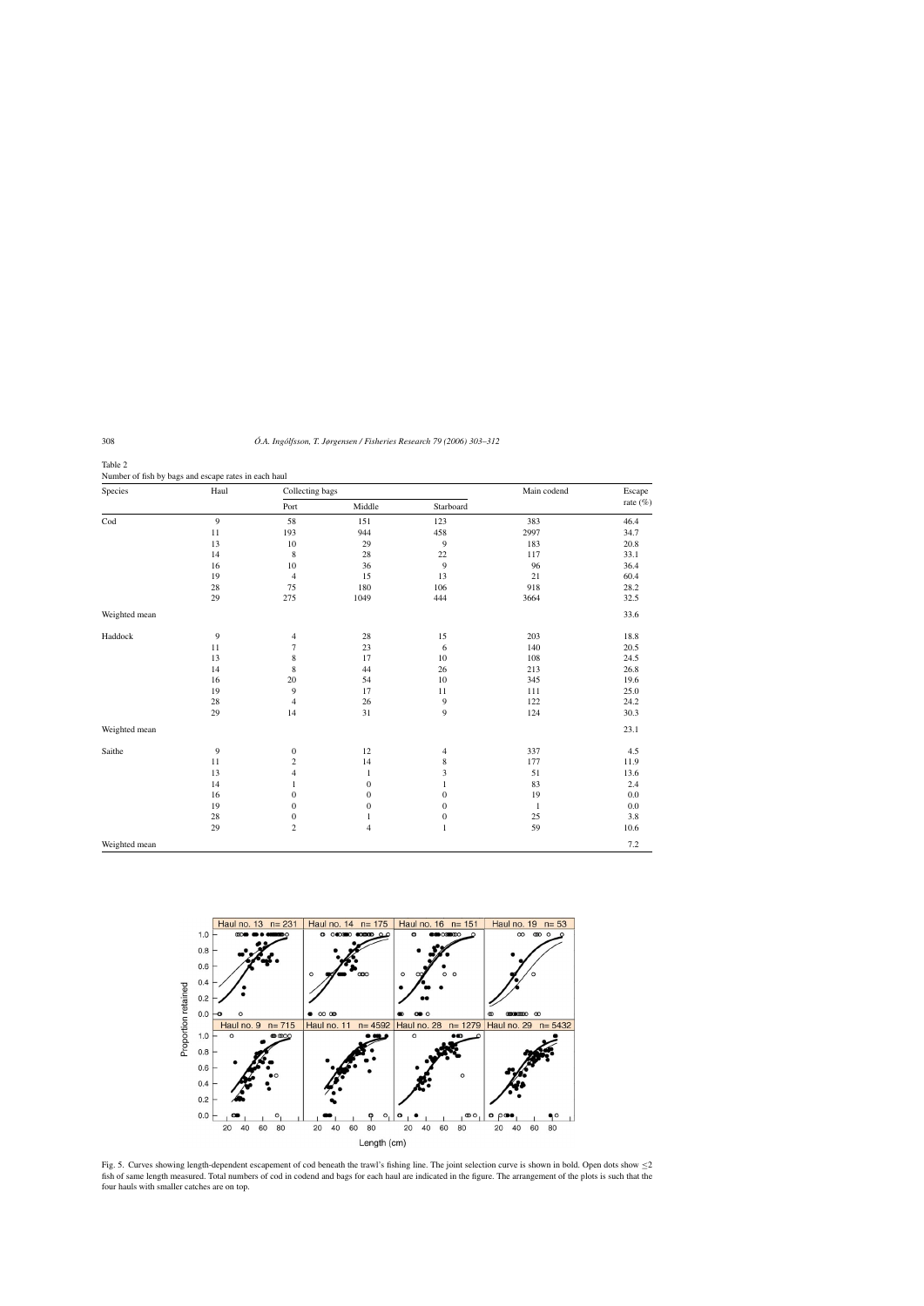<span id="page-5-0"></span>

| Table 2                                              |
|------------------------------------------------------|
| Number of fish by bags and escape rates in each haul |

| Species                 | Haul   | Collecting bags  |                         |                  | Main codend  | Escape      |
|-------------------------|--------|------------------|-------------------------|------------------|--------------|-------------|
|                         |        | Port             | Middle                  | Starboard        |              | rate $(\%)$ |
| $\mathbf{C}\mathbf{od}$ | 9      | 58               | 151                     | 123              | 383          | 46.4        |
|                         | 11     | 193              | 944                     | 458              | 2997         | 34.7        |
|                         | 13     | $10\,$           | 29                      | 9                | 183          | 20.8        |
|                         | 14     | $\,$ 8 $\,$      | 28                      | $22\,$           | 117          | 33.1        |
|                         | 16     | $10\,$           | 36                      | 9                | 96           | 36.4        |
|                         | 19     | $\overline{4}$   | 15                      | 13               | 21           | 60.4        |
|                         | 28     | 75               | 180                     | 106              | 918          | 28.2        |
|                         | 29     | 275              | 1049                    | 444              | 3664         | 32.5        |
| Weighted mean           |        |                  |                         |                  |              | 33.6        |
| Haddock                 | 9      | 4                | $28\,$                  | 15               | 203          | 18.8        |
|                         | 11     | $\boldsymbol{7}$ | 23                      | 6                | 140          | 20.5        |
|                         | 13     | $\,$ 8 $\,$      | 17                      | 10               | 108          | 24.5        |
|                         | 14     | $\,$ 8 $\,$      | 44                      | 26               | 213          | 26.8        |
|                         | 16     | $20\,$           | 54                      | 10               | 345          | 19.6        |
|                         | 19     | $\overline{9}$   | 17                      | 11               | 111          | $25.0\,$    |
|                         | $28\,$ | $\overline{4}$   | 26                      | $\overline{9}$   | 122          | 24.2        |
|                         | 29     | 14               | 31                      | 9                | 124          | 30.3        |
| Weighted mean           |        |                  |                         |                  |              | 23.1        |
| Saithe                  | 9      | $\boldsymbol{0}$ | 12                      | $\overline{4}$   | 337          | 4.5         |
|                         | 11     | $\sqrt{2}$       | 14                      | $\,$ 8 $\,$      | 177          | 11.9        |
|                         | 13     | $\overline{4}$   | $\mathbf{1}$            | 3                | 51           | 13.6        |
|                         | 14     | $\mathbf{1}$     | $\boldsymbol{0}$        | $\mathbf{1}$     | 83           | 2.4         |
|                         | 16     | $\boldsymbol{0}$ | $\boldsymbol{0}$        | $\boldsymbol{0}$ | 19           | 0.0         |
|                         | 19     | $\boldsymbol{0}$ | $\boldsymbol{0}$        | $\boldsymbol{0}$ | $\mathbf{1}$ | $0.0\,$     |
|                         | $28\,$ | $\boldsymbol{0}$ | $\mathbf{1}$            | $\boldsymbol{0}$ | 25           | 3.8         |
|                         | 29     | $\sqrt{2}$       | $\overline{\mathbf{4}}$ | $\mathbf{1}$     | 59           | 10.6        |
| Weighted mean           |        |                  |                         |                  |              | $7.2\,$     |



Fig. 5. Curves showing length-dependent escapement of cod beneath the trawl's fishing line. The joint selection curve is shown in bold. Open dots show  $\leq$ 2 fish of same length measured. Total numbers of cod in codend and bags for each haul are indicated in the figure. The arrangement of the plots is such that the four hauls with smaller catches are on top.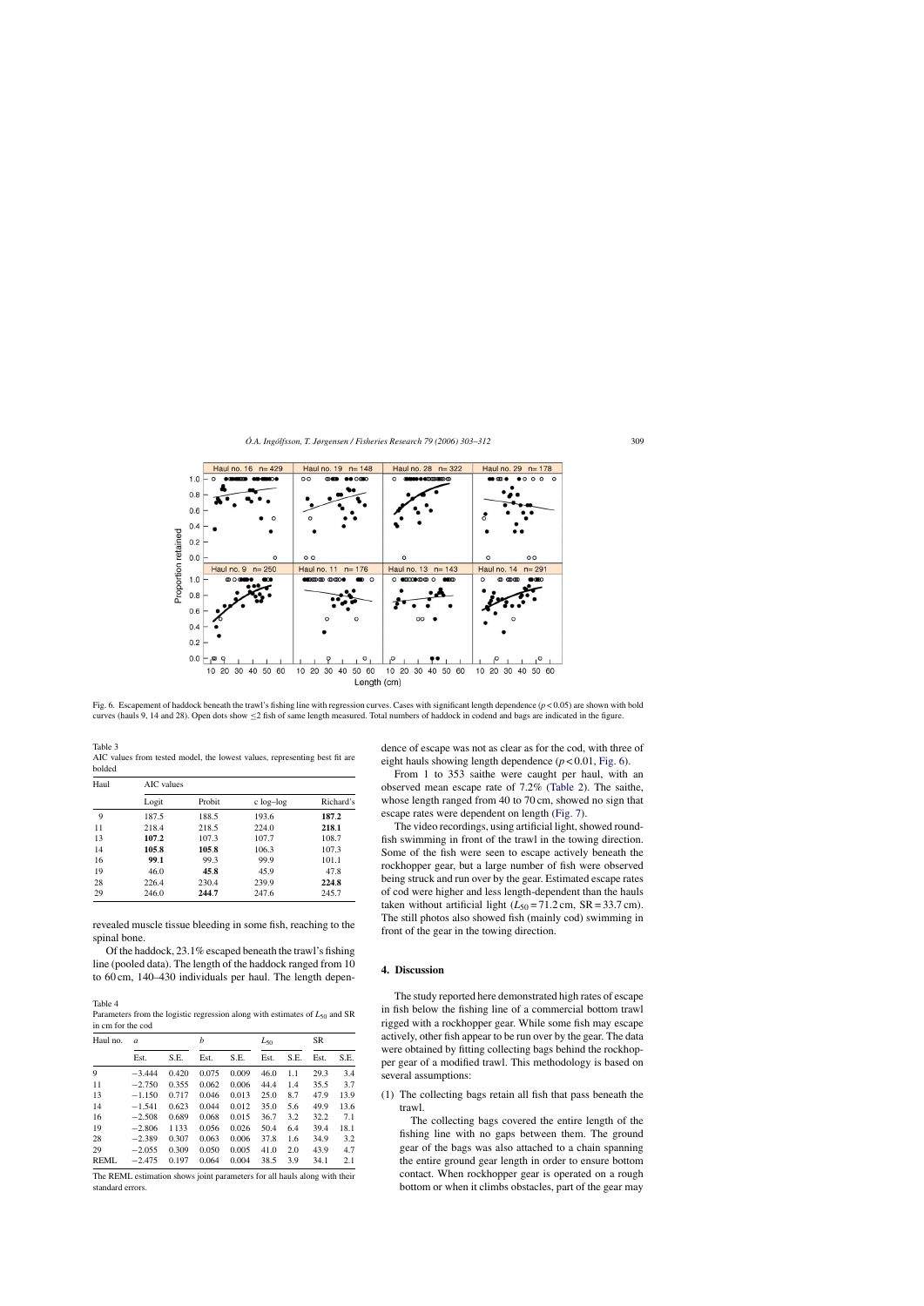<span id="page-6-0"></span>

Fig. 6. Escapement of haddock beneath the trawl's fishing line with regression curves. Cases with significant length dependence  $(p<0.05)$  are shown with bold curves (hauls 9, 14 and 28). Open dots show  $\leq$ 2 fish of same length measured. Total numbers of haddock in codend and bags are indicated in the figure.

Table 3 AIC values from tested model, the lowest values, representing best fit are bolded

| Haul | AIC values |        |           |           |  |
|------|------------|--------|-----------|-----------|--|
|      | Logit      | Probit | c log-log | Richard's |  |
| 9    | 187.5      | 188.5  | 193.6     | 187.2     |  |
| 11   | 218.4      | 218.5  | 224.0     | 218.1     |  |
| 13   | 107.2      | 107.3  | 107.7     | 108.7     |  |
| 14   | 105.8      | 105.8  | 106.3     | 107.3     |  |
| 16   | 99.1       | 99.3   | 99.9      | 101.1     |  |
| 19   | 46.0       | 45.8   | 45.9      | 47.8      |  |
| 28   | 226.4      | 230.4  | 239.9     | 224.8     |  |
| 29   | 246.0      | 244.7  | 247.6     | 245.7     |  |

revealed muscle tissue bleeding in some fish, reaching to the spinal bone.

Of the haddock, 23.1% escaped beneath the trawl's fishing line (pooled data). The length of the haddock ranged from 10 to 60 cm, 140–430 individuals per haul. The length depen-

Table 4 Parameters from the logistic regression along with estimates of  $L_{50}$  and SR in cm for the cod

| Haul no. | $\overline{a}$ |         | h     |       | $L_{50}$ |      | <b>SR</b> |      |
|----------|----------------|---------|-------|-------|----------|------|-----------|------|
|          | Est.           | S.E.    | Est.  | S.E.  | Est.     | S.E. | Est.      | S.E. |
| 9        | $-3.444$       | 0.420   | 0.075 | 0.009 | 46.0     | 1.1  | 29.3      | 3.4  |
| 11       | $-2.750$       | 0.355   | 0.062 | 0.006 | 44.4     | 1.4  | 35.5      | 3.7  |
| 13       | $-1.150$       | 0.717   | 0.046 | 0.013 | 25.0     | 8.7  | 47.9      | 13.9 |
| 14       | $-1.541$       | 0.623   | 0.044 | 0.012 | 35.0     | 5.6  | 49.9      | 13.6 |
| 16       | $-2.508$       | 0.689   | 0.068 | 0.015 | 36.7     | 3.2  | 32.2      | 7.1  |
| 19       | $-2.806$       | 1 1 3 3 | 0.056 | 0.026 | 50.4     | 6.4  | 39.4      | 18.1 |
| 28       | $-2.389$       | 0.307   | 0.063 | 0.006 | 37.8     | 1.6  | 34.9      | 3.2  |
| 29       | $-2.055$       | 0.309   | 0.050 | 0.005 | 41.0     | 2.0  | 43.9      | 4.7  |
| REML     | $-2.475$       | 0.197   | 0.064 | 0.004 | 38.5     | 3.9  | 34.1      | 2.1  |

The REML estimation shows joint parameters for all hauls along with their standard errors.

dence of escape was not as clear as for the cod, with three of eight hauls showing length dependence (*p* < 0.01, Fig. 6).

From 1 to 353 saithe were caught per haul, with an observed mean escape rate of 7.2% ([Table 2\).](#page-5-0) The saithe, whose length ranged from 40 to 70 cm, showed no sign that escape rates were dependent on length [\(Fig. 7\).](#page-7-0)

The video recordings, using artificial light, showed roundfish swimming in front of the trawl in the towing direction. Some of the fish were seen to escape actively beneath the rockhopper gear, but a large number of fish were observed being struck and run over by the gear. Estimated escape rates of cod were higher and less length-dependent than the hauls taken without artificial light  $(L_{50} = 71.2 \text{ cm}, \text{ SR} = 33.7 \text{ cm}).$ The still photos also showed fish (mainly cod) swimming in front of the gear in the towing direction.

# **4. Discussion**

The study reported here demonstrated high rates of escape in fish below the fishing line of a commercial bottom trawl rigged with a rockhopper gear. While some fish may escape actively, other fish appear to be run over by the gear. The data were obtained by fitting collecting bags behind the rockhopper gear of a modified trawl. This methodology is based on several assumptions:

(1) The collecting bags retain all fish that pass beneath the trawl.

The collecting bags covered the entire length of the fishing line with no gaps between them. The ground gear of the bags was also attached to a chain spanning the entire ground gear length in order to ensure bottom contact. When rockhopper gear is operated on a rough bottom or when it climbs obstacles, part of the gear may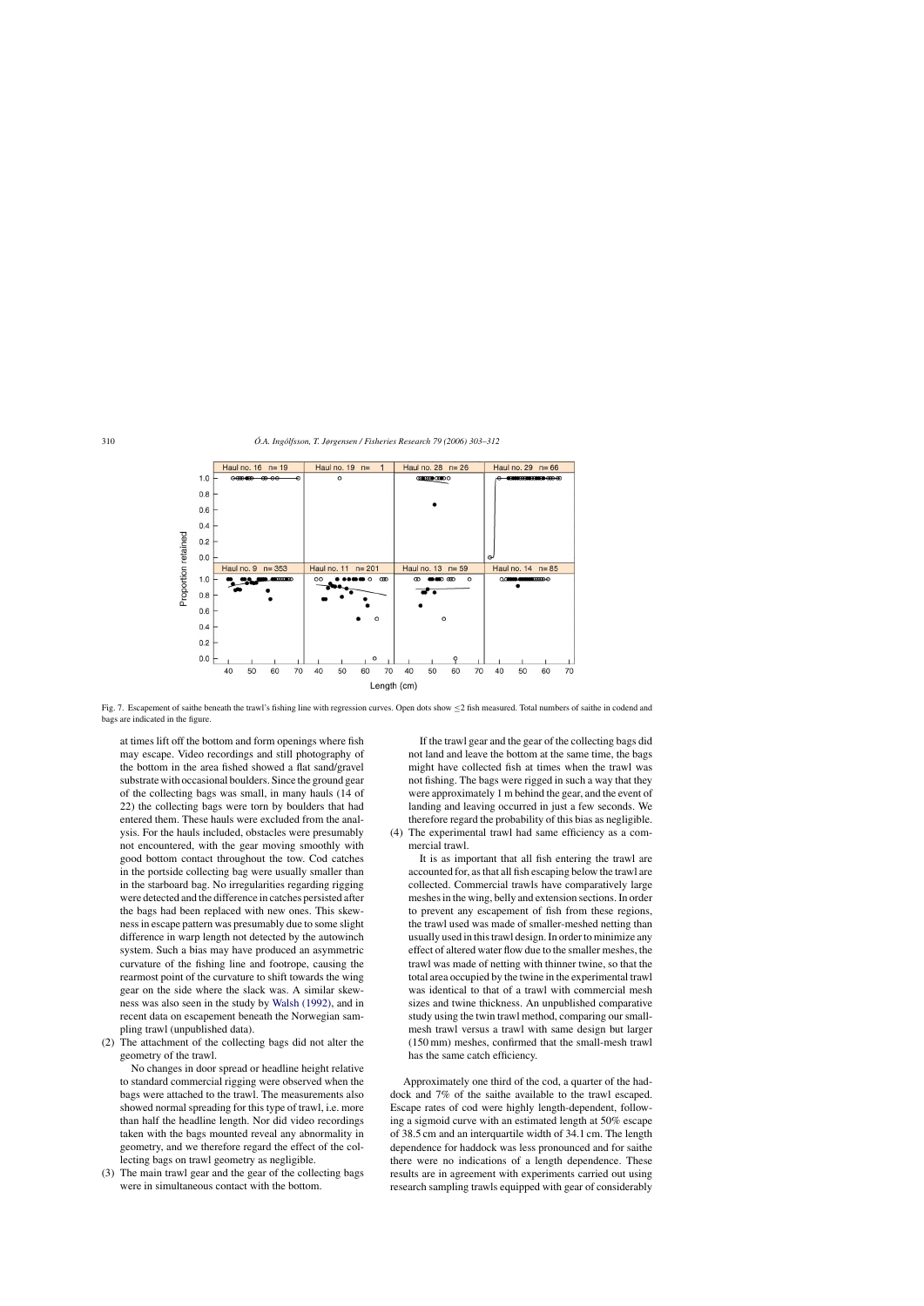<span id="page-7-0"></span>

Fig. 7. Escapement of saithe beneath the trawl's fishing line with regression curves. Open dots show ≤2 fish measured. Total numbers of saithe in codend and bags are indicated in the figure.

at times lift off the bottom and form openings where fish may escape. Video recordings and still photography of the bottom in the area fished showed a flat sand/gravel substrate with occasional boulders. Since the ground gear of the collecting bags was small, in many hauls (14 of 22) the collecting bags were torn by boulders that had entered them. These hauls were excluded from the analysis. For the hauls included, obstacles were presumably not encountered, with the gear moving smoothly with good bottom contact throughout the tow. Cod catches in the portside collecting bag were usually smaller than in the starboard bag. No irregularities regarding rigging were detected and the difference in catches persisted after the bags had been replaced with new ones. This skewness in escape pattern was presumably due to some slight difference in warp length not detected by the autowinch system. Such a bias may have produced an asymmetric curvature of the fishing line and footrope, causing the rearmost point of the curvature to shift towards the wing gear on the side where the slack was. A similar skewness was also seen in the study by [Walsh \(1992\),](#page-9-0) and in recent data on escapement beneath the Norwegian sampling trawl (unpublished data).

(2) The attachment of the collecting bags did not alter the geometry of the trawl.

No changes in door spread or headline height relative to standard commercial rigging were observed when the bags were attached to the trawl. The measurements also showed normal spreading for this type of trawl, i.e. more than half the headline length. Nor did video recordings taken with the bags mounted reveal any abnormality in geometry, and we therefore regard the effect of the collecting bags on trawl geometry as negligible.

(3) The main trawl gear and the gear of the collecting bags were in simultaneous contact with the bottom.

If the trawl gear and the gear of the collecting bags did not land and leave the bottom at the same time, the bags might have collected fish at times when the trawl was not fishing. The bags were rigged in such a way that they were approximately 1 m behind the gear, and the event of landing and leaving occurred in just a few seconds. We therefore regard the probability of this bias as negligible.

(4) The experimental trawl had same efficiency as a commercial trawl.

It is as important that all fish entering the trawl are accounted for, as that all fish escaping below the trawl are collected. Commercial trawls have comparatively large meshes in the wing, belly and extension sections. In order to prevent any escapement of fish from these regions, the trawl used was made of smaller-meshed netting than usually used in this trawl design. In order to minimize any effect of altered water flow due to the smaller meshes, the trawl was made of netting with thinner twine, so that the total area occupied by the twine in the experimental trawl was identical to that of a trawl with commercial mesh sizes and twine thickness. An unpublished comparative study using the twin trawl method, comparing our smallmesh trawl versus a trawl with same design but larger (150 mm) meshes, confirmed that the small-mesh trawl has the same catch efficiency.

Approximately one third of the cod, a quarter of the haddock and 7% of the saithe available to the trawl escaped. Escape rates of cod were highly length-dependent, following a sigmoid curve with an estimated length at 50% escape of 38.5 cm and an interquartile width of 34.1 cm. The length dependence for haddock was less pronounced and for saithe there were no indications of a length dependence. These results are in agreement with experiments carried out using research sampling trawls equipped with gear of considerably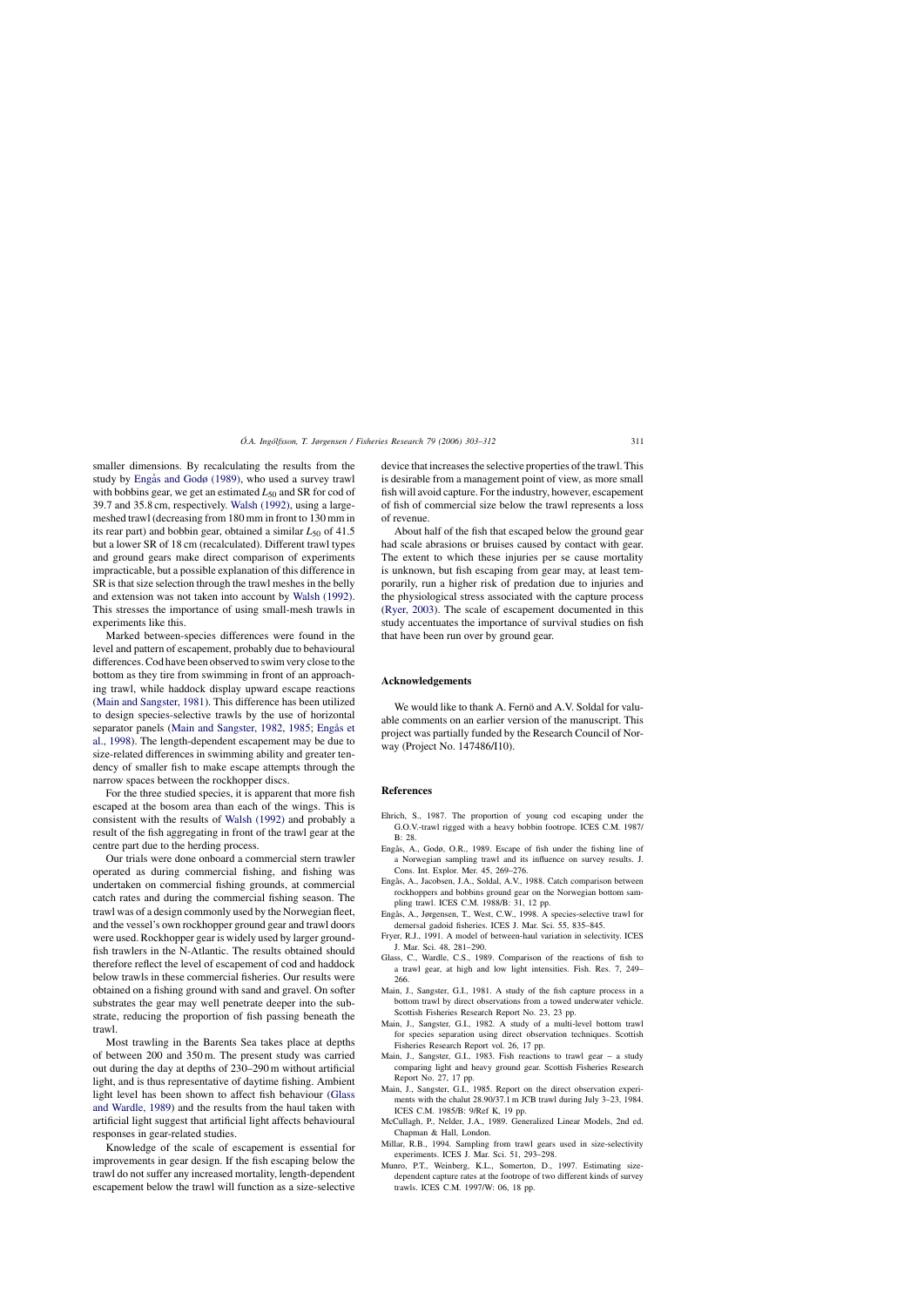<span id="page-8-0"></span>smaller dimensions. By recalculating the results from the study by Engås and Godø (1989), who used a survey trawl with bobbins gear, we get an estimated  $L_{50}$  and SR for cod of 39.7 and 35.8 cm, respectively. [Walsh \(1992\),](#page-9-0) using a largemeshed trawl (decreasing from 180 mm in front to 130 mm in its rear part) and bobbin gear, obtained a similar *L*<sup>50</sup> of 41.5 but a lower SR of 18 cm (recalculated). Different trawl types and ground gears make direct comparison of experiments impracticable, but a possible explanation of this difference in SR is that size selection through the trawl meshes in the belly and extension was not taken into account by [Walsh \(1992\).](#page-9-0) This stresses the importance of using small-mesh trawls in experiments like this.

Marked between-species differences were found in the level and pattern of escapement, probably due to behavioural differences. Cod have been observed to swim very close to the bottom as they tire from swimming in front of an approaching trawl, while haddock display upward escape reactions (Main and Sangster, 1981). This difference has been utilized to design species-selective trawls by the use of horizontal separator panels (Main and Sangster, 1982, 1985; Engås et al., 1998). The length-dependent escapement may be due to size-related differences in swimming ability and greater tendency of smaller fish to make escape attempts through the narrow spaces between the rockhopper discs.

For the three studied species, it is apparent that more fish escaped at the bosom area than each of the wings. This is consistent with the results of [Walsh \(1992\)](#page-9-0) and probably a result of the fish aggregating in front of the trawl gear at the centre part due to the herding process.

Our trials were done onboard a commercial stern trawler operated as during commercial fishing, and fishing was undertaken on commercial fishing grounds, at commercial catch rates and during the commercial fishing season. The trawl was of a design commonly used by the Norwegian fleet, and the vessel's own rockhopper ground gear and trawl doors were used. Rockhopper gear is widely used by larger groundfish trawlers in the N-Atlantic. The results obtained should therefore reflect the level of escapement of cod and haddock below trawls in these commercial fisheries. Our results were obtained on a fishing ground with sand and gravel. On softer substrates the gear may well penetrate deeper into the substrate, reducing the proportion of fish passing beneath the trawl.

Most trawling in the Barents Sea takes place at depths of between 200 and 350 m. The present study was carried out during the day at depths of 230–290 m without artificial light, and is thus representative of daytime fishing. Ambient light level has been shown to affect fish behaviour (Glass and Wardle, 1989) and the results from the haul taken with artificial light suggest that artificial light affects behavioural responses in gear-related studies.

Knowledge of the scale of escapement is essential for improvements in gear design. If the fish escaping below the trawl do not suffer any increased mortality, length-dependent escapement below the trawl will function as a size-selective

device that increases the selective properties of the trawl. This is desirable from a management point of view, as more small fish will avoid capture. For the industry, however, escapement of fish of commercial size below the trawl represents a loss of revenue.

About half of the fish that escaped below the ground gear had scale abrasions or bruises caused by contact with gear. The extent to which these injuries per se cause mortality is unknown, but fish escaping from gear may, at least temporarily, run a higher risk of predation due to injuries and the physiological stress associated with the capture process ([Ryer, 2003\).](#page-9-0) The scale of escapement documented in this study accentuates the importance of survival studies on fish that have been run over by ground gear.

### **Acknowledgements**

We would like to thank A. Fernö and A.V. Soldal for valuable comments on an earlier version of the manuscript. This project was partially funded by the Research Council of Norway (Project No. 147486/I10).

### **References**

- Ehrich, S., 1987. The proportion of young cod escaping under the G.O.V.-trawl rigged with a heavy bobbin footrope. ICES C.M. 1987/ B: 28.
- Engås, A., Godø, O.R., 1989. Escape of fish under the fishing line of a Norwegian sampling trawl and its influence on survey results. J. Cons. Int. Explor. Mer. 45, 269–276.
- Engås, A., Jacobsen, J.A., Soldal, A.V., 1988. Catch comparison between rockhoppers and bobbins ground gear on the Norwegian bottom sampling trawl. ICES C.M. 1988/B: 31, 12 pp.
- Engås, A., Jørgensen, T., West, C.W., 1998. A species-selective trawl for demersal gadoid fisheries. ICES J. Mar. Sci. 55, 835–845.
- Fryer, R.J., 1991. A model of between-haul variation in selectivity. ICES J. Mar. Sci. 48, 281–290.
- Glass, C., Wardle, C.S., 1989. Comparison of the reactions of fish to a trawl gear, at high and low light intensities. Fish. Res. 7, 249– 266.
- Main, J., Sangster, G.I., 1981. A study of the fish capture process in a bottom trawl by direct observations from a towed underwater vehicle. Scottish Fisheries Research Report No. 23, 23 pp.
- Main, J., Sangster, G.I., 1982. A study of a multi-level bottom trawl for species separation using direct observation techniques. Scottish Fisheries Research Report vol. 26, 17 pp.
- Main, J., Sangster, G.I., 1983. Fish reactions to trawl gear a study comparing light and heavy ground gear. Scottish Fisheries Research Report No. 27, 17 pp.
- Main, J., Sangster, G.I., 1985. Report on the direct observation experiments with the chalut 28.90/37.1 m JCB trawl during July 3–23, 1984. ICES C.M. 1985/B: 9/Ref K, 19 pp.
- McCullagh, P., Nelder, J.A., 1989. Generalized Linear Models, 2nd ed. Chapman & Hall, London.
- Millar, R.B., 1994. Sampling from trawl gears used in size-selectivity experiments. ICES J. Mar. Sci. 51, 293–298.
- Munro, P.T., Weinberg, K.L., Somerton, D., 1997. Estimating sizedependent capture rates at the footrope of two different kinds of survey trawls. ICES C.M. 1997/W: 06, 18 pp.